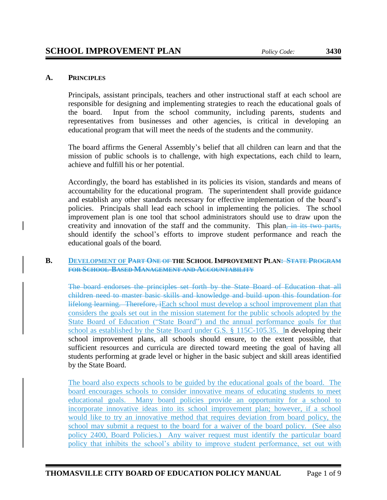## **A. PRINCIPLES**

Principals, assistant principals, teachers and other instructional staff at each school are responsible for designing and implementing strategies to reach the educational goals of the board. Input from the school community, including parents, students and representatives from businesses and other agencies, is critical in developing an educational program that will meet the needs of the students and the community.

The board affirms the General Assembly's belief that all children can learn and that the mission of public schools is to challenge, with high expectations, each child to learn, achieve and fulfill his or her potential.

Accordingly, the board has established in its policies its vision, standards and means of accountability for the educational program. The superintendent shall provide guidance and establish any other standards necessary for effective implementation of the board's policies. Principals shall lead each school in implementing the policies. The school improvement plan is one tool that school administrators should use to draw upon the creativity and innovation of the staff and the community. This plan, in its two parts, should identify the school's efforts to improve student performance and reach the educational goals of the board.

#### **B. DEVELOPMENT OF PART ONE OF THE SCHOOL IMPROVEMENT PLAN: STATE PROGRAM FOR SCHOOL-BASED MANAGEMENT AND ACCOUNTABILITY**

The board endorses the principles set forth by the State Board of Education that all children need to master basic skills and knowledge and build upon this foundation for lifelong learning. Therefore, iEach school must develop a school improvement plan that considers the goals set out in the mission statement for the public schools adopted by the State Board of Education ("State Board") and the annual performance goals for that school as established by the State Board under G.S. § 115C-105.35. In developing their school improvement plans, all schools should ensure, to the extent possible, that sufficient resources and curricula are directed toward meeting the goal of having all students performing at grade level or higher in the basic subject and skill areas identified by the State Board.

The board also expects schools to be guided by the educational goals of the board. The board encourages schools to consider innovative means of educating students to meet educational goals. Many board policies provide an opportunity for a school to incorporate innovative ideas into its school improvement plan; however, if a school would like to try an innovative method that requires deviation from board policy, the school may submit a request to the board for a waiver of the board policy. (See also policy 2400, Board Policies.) Any waiver request must identify the particular board policy that inhibits the school's ability to improve student performance, set out with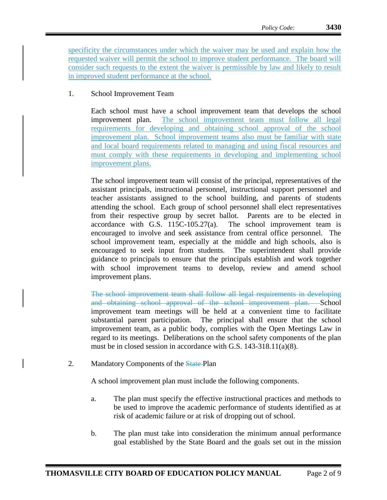specificity the circumstances under which the waiver may be used and explain how the requested waiver will permit the school to improve student performance. The board will consider such requests to the extent the waiver is permissible by law and likely to result in improved student performance at the school.

# 1. School Improvement Team

Each school must have a school improvement team that develops the school improvement plan. The school improvement team must follow all legal requirements for developing and obtaining school approval of the school improvement plan. School improvement teams also must be familiar with state and local board requirements related to managing and using fiscal resources and must comply with these requirements in developing and implementing school improvement plans.

The school improvement team will consist of the principal, representatives of the assistant principals, instructional personnel, instructional support personnel and teacher assistants assigned to the school building, and parents of students attending the school. Each group of school personnel shall elect representatives from their respective group by secret ballot. Parents are to be elected in accordance with G.S.  $115C-105.27(a)$ . The school improvement team is encouraged to involve and seek assistance from central office personnel. The school improvement team, especially at the middle and high schools, also is encouraged to seek input from students. The superintendent shall provide guidance to principals to ensure that the principals establish and work together with school improvement teams to develop, review and amend school improvement plans.

The school improvement team shall follow all legal requirements in developing and obtaining school approval of the school improvement plan. School improvement team meetings will be held at a convenient time to facilitate substantial parent participation. The principal shall ensure that the school improvement team, as a public body, complies with the Open Meetings Law in regard to its meetings. Deliberations on the school safety components of the plan must be in closed session in accordance with G.S. 143-318.11(a)(8).

2. Mandatory Components of the State-Plan

A school improvement plan must include the following components.

- a. The plan must specify the effective instructional practices and methods to be used to improve the academic performance of students identified as at risk of academic failure or at risk of dropping out of school.
- b. The plan must take into consideration the minimum annual performance goal established by the State Board and the goals set out in the mission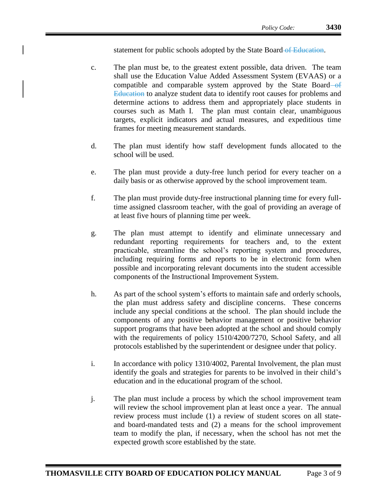statement for public schools adopted by the State Board of Education.

- c. The plan must be, to the greatest extent possible, data driven. The team shall use the Education Value Added Assessment System (EVAAS) or a compatible and comparable system approved by the State Board  $-$ of Education to analyze student data to identify root causes for problems and determine actions to address them and appropriately place students in courses such as Math I. The plan must contain clear, unambiguous targets, explicit indicators and actual measures, and expeditious time frames for meeting measurement standards.
- d. The plan must identify how staff development funds allocated to the school will be used.
- e. The plan must provide a duty-free lunch period for every teacher on a daily basis or as otherwise approved by the school improvement team.
- f. The plan must provide duty-free instructional planning time for every fulltime assigned classroom teacher, with the goal of providing an average of at least five hours of planning time per week.
- g. The plan must attempt to identify and eliminate unnecessary and redundant reporting requirements for teachers and, to the extent practicable, streamline the school's reporting system and procedures, including requiring forms and reports to be in electronic form when possible and incorporating relevant documents into the student accessible components of the Instructional Improvement System.
- h. As part of the school system's efforts to maintain safe and orderly schools, the plan must address safety and discipline concerns. These concerns include any special conditions at the school. The plan should include the components of any positive behavior management or positive behavior support programs that have been adopted at the school and should comply with the requirements of policy 1510/4200/7270, School Safety, and all protocols established by the superintendent or designee under that policy.
- i. In accordance with policy 1310/4002, Parental Involvement, the plan must identify the goals and strategies for parents to be involved in their child's education and in the educational program of the school.
- j. The plan must include a process by which the school improvement team will review the school improvement plan at least once a year. The annual review process must include (1) a review of student scores on all stateand board-mandated tests and (2) a means for the school improvement team to modify the plan, if necessary, when the school has not met the expected growth score established by the state.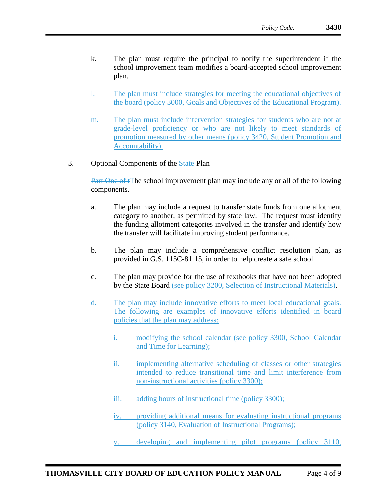- k. The plan must require the principal to notify the superintendent if the school improvement team modifies a board-accepted school improvement plan.
- The plan must include strategies for meeting the educational objectives of the board (policy 3000, Goals and Objectives of the Educational Program).
- m. The plan must include intervention strategies for students who are not at grade-level proficiency or who are not likely to meet standards of promotion measured by other means (policy 3420, Student Promotion and Accountability).
- 3. Optional Components of the State Plan

Part One of tThe school improvement plan may include any or all of the following components.

- a. The plan may include a request to transfer state funds from one allotment category to another, as permitted by state law. The request must identify the funding allotment categories involved in the transfer and identify how the transfer will facilitate improving student performance.
- b. The plan may include a comprehensive conflict resolution plan, as provided in G.S. 115C-81.15, in order to help create a safe school.
- c. The plan may provide for the use of textbooks that have not been adopted by the State Board (see policy 3200, Selection of Instructional Materials).
- d. The plan may include innovative efforts to meet local educational goals. The following are examples of innovative efforts identified in board policies that the plan may address:
	- i. modifying the school calendar (see policy 3300, School Calendar and Time for Learning);
	- ii. implementing alternative scheduling of classes or other strategies intended to reduce transitional time and limit interference from non-instructional activities (policy 3300);
	- iii. adding hours of instructional time (policy 3300);
	- iv. providing additional means for evaluating instructional programs (policy 3140, Evaluation of Instructional Programs);
	- v. developing and implementing pilot programs (policy 3110,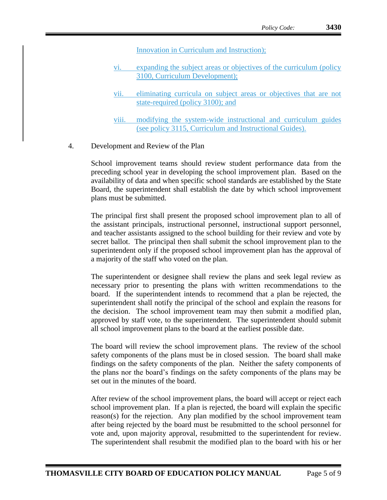Innovation in Curriculum and Instruction);

- vi. expanding the subject areas or objectives of the curriculum (policy 3100, Curriculum Development);
- vii. eliminating curricula on subject areas or objectives that are not state-required (policy 3100); and
- viii. modifying the system-wide instructional and curriculum guides (see policy 3115, Curriculum and Instructional Guides).
- 4. Development and Review of the Plan

School improvement teams should review student performance data from the preceding school year in developing the school improvement plan. Based on the availability of data and when specific school standards are established by the State Board, the superintendent shall establish the date by which school improvement plans must be submitted.

The principal first shall present the proposed school improvement plan to all of the assistant principals, instructional personnel, instructional support personnel, and teacher assistants assigned to the school building for their review and vote by secret ballot. The principal then shall submit the school improvement plan to the superintendent only if the proposed school improvement plan has the approval of a majority of the staff who voted on the plan.

The superintendent or designee shall review the plans and seek legal review as necessary prior to presenting the plans with written recommendations to the board. If the superintendent intends to recommend that a plan be rejected, the superintendent shall notify the principal of the school and explain the reasons for the decision. The school improvement team may then submit a modified plan, approved by staff vote, to the superintendent. The superintendent should submit all school improvement plans to the board at the earliest possible date.

The board will review the school improvement plans. The review of the school safety components of the plans must be in closed session. The board shall make findings on the safety components of the plan. Neither the safety components of the plans nor the board's findings on the safety components of the plans may be set out in the minutes of the board.

After review of the school improvement plans, the board will accept or reject each school improvement plan. If a plan is rejected, the board will explain the specific reason(s) for the rejection. Any plan modified by the school improvement team after being rejected by the board must be resubmitted to the school personnel for vote and, upon majority approval, resubmitted to the superintendent for review. The superintendent shall resubmit the modified plan to the board with his or her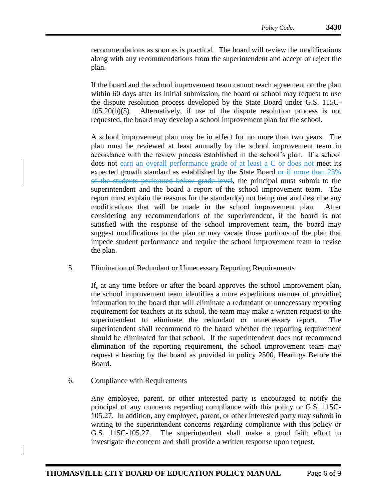recommendations as soon as is practical. The board will review the modifications along with any recommendations from the superintendent and accept or reject the plan.

If the board and the school improvement team cannot reach agreement on the plan within 60 days after its initial submission, the board or school may request to use the dispute resolution process developed by the State Board under G.S. 115C-105.20(b)(5). Alternatively, if use of the dispute resolution process is not requested, the board may develop a school improvement plan for the school.

A school improvement plan may be in effect for no more than two years. The plan must be reviewed at least annually by the school improvement team in accordance with the review process established in the school's plan. If a school does not earn an overall performance grade of at least a C or does not meet its expected growth standard as established by the State Board or if more than 25% of the students performed below grade level, the principal must submit to the superintendent and the board a report of the school improvement team. The report must explain the reasons for the standard(s) not being met and describe any modifications that will be made in the school improvement plan. After considering any recommendations of the superintendent, if the board is not satisfied with the response of the school improvement team, the board may suggest modifications to the plan or may vacate those portions of the plan that impede student performance and require the school improvement team to revise the plan.

5. Elimination of Redundant or Unnecessary Reporting Requirements

If, at any time before or after the board approves the school improvement plan, the school improvement team identifies a more expeditious manner of providing information to the board that will eliminate a redundant or unnecessary reporting requirement for teachers at its school, the team may make a written request to the superintendent to eliminate the redundant or unnecessary report. The superintendent shall recommend to the board whether the reporting requirement should be eliminated for that school. If the superintendent does not recommend elimination of the reporting requirement, the school improvement team may request a hearing by the board as provided in policy 2500, Hearings Before the Board.

6. Compliance with Requirements

Any employee, parent, or other interested party is encouraged to notify the principal of any concerns regarding compliance with this policy or G.S. 115C-105.27. In addition, any employee, parent, or other interested party may submit in writing to the superintendent concerns regarding compliance with this policy or G.S. 115C-105.27. The superintendent shall make a good faith effort to investigate the concern and shall provide a written response upon request.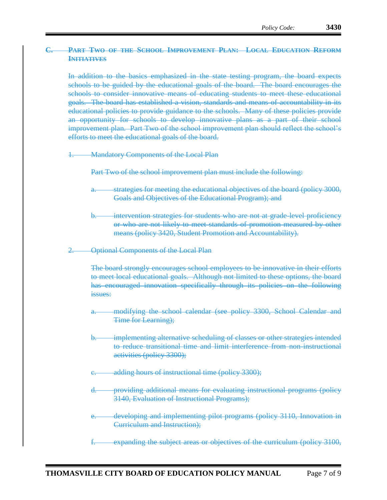## **C. PART TWO OF THE SCHOOL IMPROVEMENT PLAN: LOCAL EDUCATION REFORM INITIATIVES**

In addition to the basics emphasized in the state testing program, the board expects schools to be guided by the educational goals of the board. The board encourages the schools to consider innovative means of educating students to meet these educational goals. The board has established a vision, standards and means of accountability in its educational policies to provide guidance to the schools. Many of these policies provide an opportunity for schools to develop innovative plans as a part of their school improvement plan. Part Two of the school improvement plan should reflect the school's efforts to meet the educational goals of the board.

1. Mandatory Components of the Local Plan

Part Two of the school improvement plan must include the following:

- strategies for meeting the educational objectives of the board (policy 3000, Goals and Objectives of the Educational Program); and
- b. intervention strategies for students who are not at grade-level proficiency or who are not likely to meet standards of promotion measured by other means (policy 3420, Student Promotion and Accountability).
- 2. Optional Components of the Local Plan

The board strongly encourages school employees to be innovative in their efforts to meet local educational goals. Although not limited to these options, the board has encouraged innovation specifically through its policies on the following issues:

- modifying the school calendar (see policy 3300, School Calendar and Time for Learning);
- implementing alternative scheduling of classes or other strategies intended to reduce transitional time and limit interference from non-instructional activities (policy 3300);
- adding hours of instructional time (policy 3300);
- d. providing additional means for evaluating instructional programs (policy 3140, Evaluation of Instructional Programs);
- developing and implementing pilot programs (policy 3110, Innovation in Curriculum and Instruction);
- expanding the subject areas or objectives of the curriculum (policy 3100,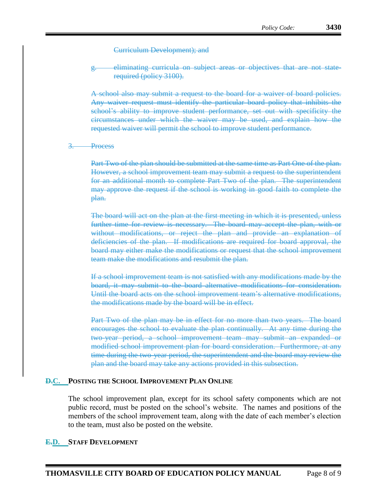Curriculum Development); and

g. eliminating curricula on subject areas or objectives that are not staterequired (policy 3100).

A school also may submit a request to the board for a waiver of board policies. Any waiver request must identify the particular board policy that inhibits the school's ability to improve student performance, set out with specificity the circumstances under which the waiver may be used, and explain how the requested waiver will permit the school to improve student performance.

3. Process

Part Two of the plan should be submitted at the same time as Part One of the plan. However, a school improvement team may submit a request to the superintendent for an additional month to complete Part Two of the plan. The superintendent may approve the request if the school is working in good faith to complete the plan.

The board will act on the plan at the first meeting in which it is presented, unless further time for review is necessary. The board may accept the plan, with or without modifications, or reject the plan and provide an explanation of deficiencies of the plan. If modifications are required for board approval, the board may either make the modifications or request that the school improvement team make the modifications and resubmit the plan.

If a school improvement team is not satisfied with any modifications made by the board, it may submit to the board alternative modifications for consideration. Until the board acts on the school improvement team's alternative modifications, the modifications made by the board will be in effect.

Part Two of the plan may be in effect for no more than two years. The board encourages the school to evaluate the plan continually. At any time during the two-year period, a school improvement team may submit an expanded or modified school improvement plan for board consideration. Furthermore, at any time during the two-year period, the superintendent and the board may review the plan and the board may take any actions provided in this subsection.

#### **D.C. POSTING THE SCHOOL IMPROVEMENT PLAN ONLINE**

The school improvement plan, except for its school safety components which are not public record, must be posted on the school's website. The names and positions of the members of the school improvement team, along with the date of each member's election to the team, must also be posted on the website.

#### **E.D. STAFF DEVELOPMENT**